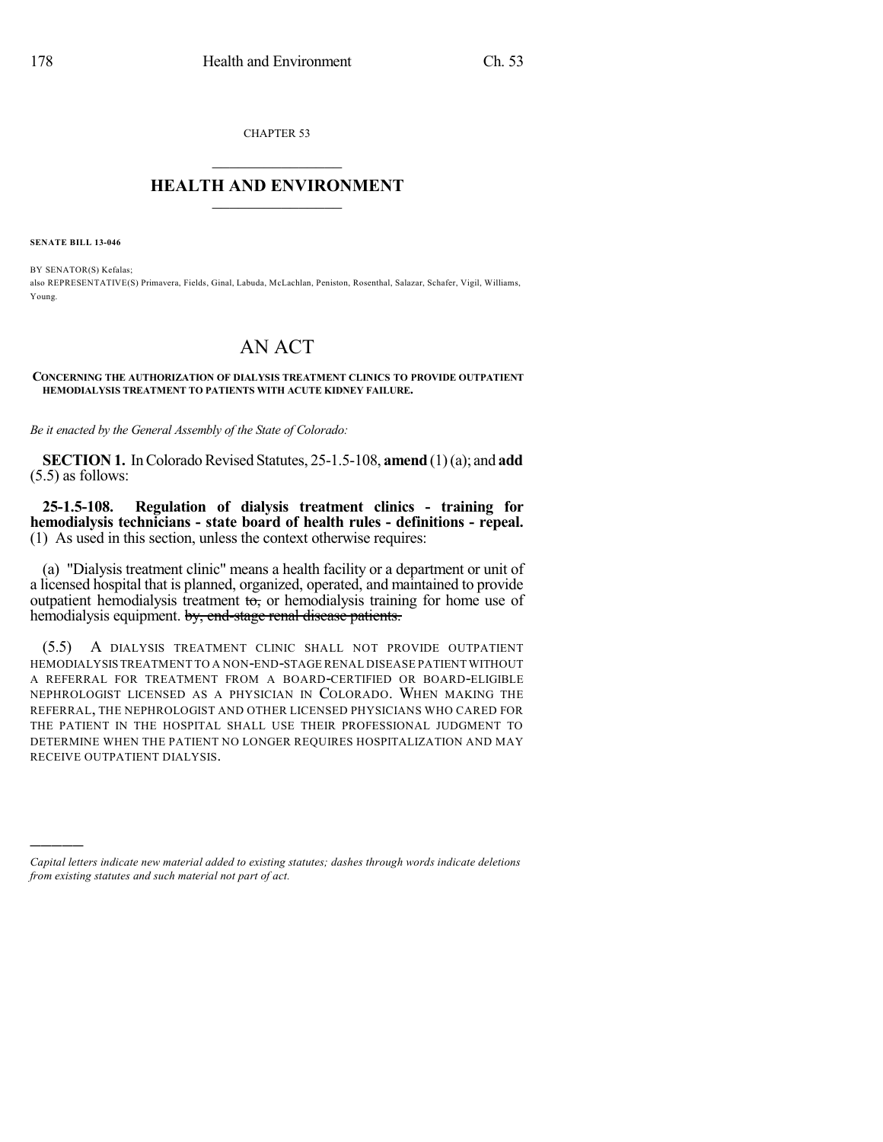CHAPTER 53

## $\mathcal{L}_\text{max}$  . The set of the set of the set of the set of the set of the set of the set of the set of the set of the set of the set of the set of the set of the set of the set of the set of the set of the set of the set **HEALTH AND ENVIRONMENT**  $\_$

**SENATE BILL 13-046**

)))))

BY SENATOR(S) Kefalas; also REPRESENTATIVE(S) Primavera, Fields, Ginal, Labuda, McLachlan, Peniston, Rosenthal, Salazar, Schafer, Vigil, Williams, Young.

## AN ACT

## **CONCERNING THE AUTHORIZATION OF DIALYSIS TREATMENT CLINICS TO PROVIDE OUTPATIENT HEMODIALYSIS TREATMENT TO PATIENTS WITH ACUTE KIDNEY FAILURE.**

*Be it enacted by the General Assembly of the State of Colorado:*

**SECTION 1.** In Colorado Revised Statutes, 25-1.5-108, **amend** (1)(a); and **add** (5.5) as follows:

**25-1.5-108. Regulation of dialysis treatment clinics - training for hemodialysis technicians - state board of health rules - definitions - repeal.** (1) As used in this section, unless the context otherwise requires:

(a) "Dialysis treatment clinic" means a health facility or a department or unit of a licensed hospital that is planned, organized, operated, and maintained to provide outpatient hemodialysis treatment  $t\sigma$ , or hemodialysis training for home use of hemodialysis equipment. by, end-stage renal disease patients.

(5.5) A DIALYSIS TREATMENT CLINIC SHALL NOT PROVIDE OUTPATIENT HEMODIALYSIS TREATMENT TO A NON-END-STAGE RENAL DISEASE PATIENT WITHOUT A REFERRAL FOR TREATMENT FROM A BOARD-CERTIFIED OR BOARD-ELIGIBLE NEPHROLOGIST LICENSED AS A PHYSICIAN IN COLORADO. WHEN MAKING THE REFERRAL, THE NEPHROLOGIST AND OTHER LICENSED PHYSICIANS WHO CARED FOR THE PATIENT IN THE HOSPITAL SHALL USE THEIR PROFESSIONAL JUDGMENT TO DETERMINE WHEN THE PATIENT NO LONGER REQUIRES HOSPITALIZATION AND MAY RECEIVE OUTPATIENT DIALYSIS.

*Capital letters indicate new material added to existing statutes; dashes through words indicate deletions from existing statutes and such material not part of act.*